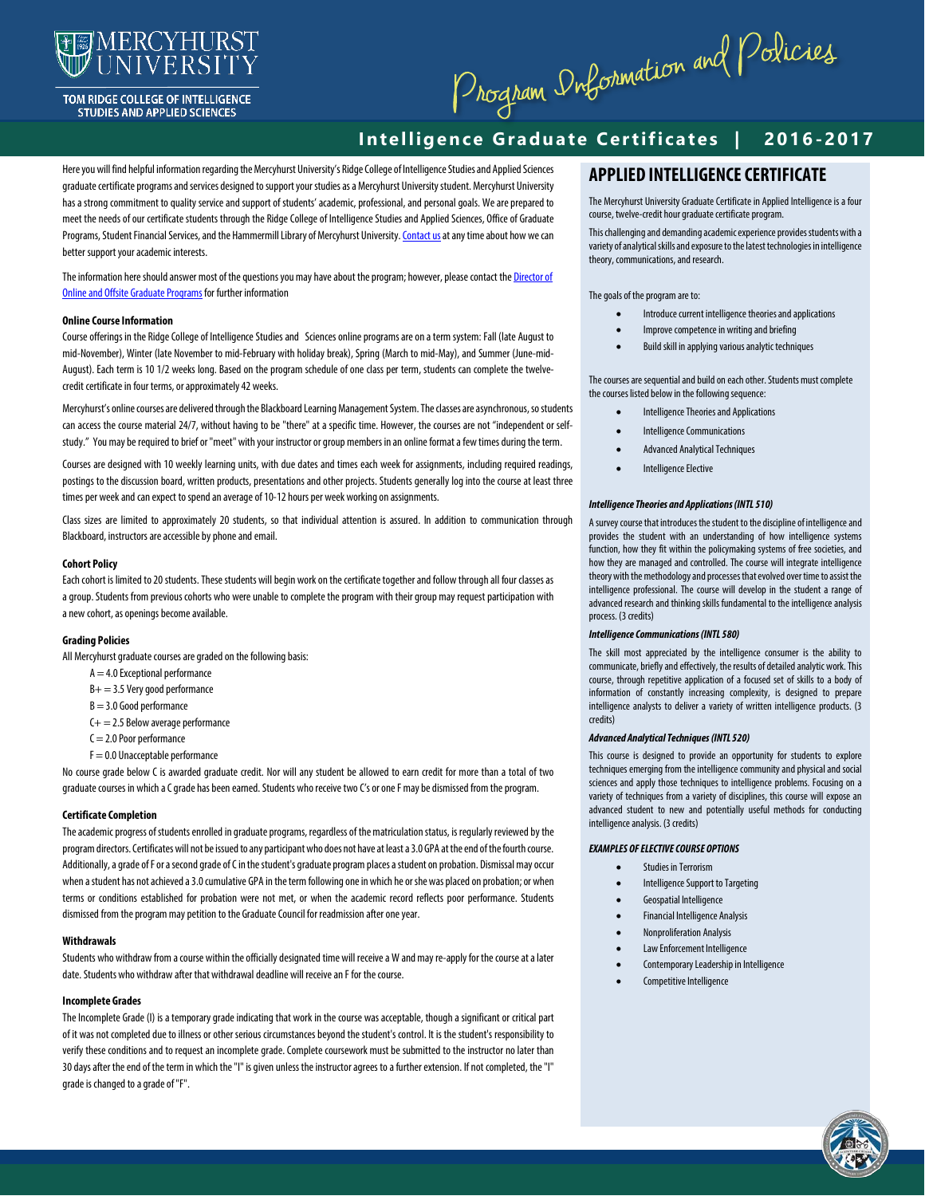

TOM RIDGE COLLEGE OF INTELLIGENCE **STUDIES AND APPLIED SCIENCES** 

Program Dubormation and Policies

# **Intelligence Graduate Certificates | 2016-2017**

Here you will find helpful information regarding the Mercyhurst University's Ridge College of Intelligence Studiesand Applied Sciences graduate certificate programs and services designed to support your studies as a Mercyhurst University student. Mercyhurst University has a strong commitment to quality service and support of students' academic, professional, and personal goals. We are prepared to meet the needs of our certificate students through the Ridge College of Intelligence Studiesand Applied Sciences, Office of Graduate Programs, Student Financial Services, and the Hammermill Library of Mercyhurst University. Contact us at any time about how we can better support your academic interests.

The information here should answer most of the questions you may have about the program; however, please contact the Director of [Online and Offsite Graduate Programs](mailto:lbremmer@mercyhurst.edu) for further information

#### **Online Course Information**

Course offerings in the Ridge College of Intelligence Studiesand Sciencesonline programs are on a term system: Fall (late August to mid-November), Winter (late November to mid-February with holiday break), Spring (March to mid-May), and Summer (June-mid-August). Each term is 10 1/2 weeks long. Based on the program schedule of one class per term, students can complete the twelvecredit certificate in four terms, or approximately 42 weeks.

Mercyhurst's online courses are delivered through the Blackboard Learning Management System. The classes are asynchronous, sostudents can access the course material 24/7, without having to be "there" at a specific time. However, the courses are not "independent or selfstudy." You may be required to brief or "meet" with your instructor or group members in an online format a few times during the term.

Courses are designed with 10 weekly learning units, with due dates and times each week for assignments, including required readings, postings to the discussion board, written products, presentations and other projects. Students generally log into the course at least three times per week and can expect to spend an average of 10-12 hours per week working on assignments.

Class sizes are limited to approximately 20 students, so that individual attention is assured. In addition to communication through Blackboard, instructors are accessible by phone and email.

# **Cohort Policy**

Each cohort is limited to 20 students. These students will begin work on the certificate together and follow through all four classes as a group. Students from previous cohorts who were unable to complete the program with their group may request participation with a new cohort, as openings become available.

#### **Grading Policies**

All Mercyhurst graduate courses are graded on the following basis:

- $A = 4.0$  Exceptional performance
- B+ = 3.5 Very good performance
- $B = 3.0$  Good performance
- C+ = 2.5 Below average performance
- $C = 2.0$  Poor performance
- F = 0.0 Unacceptable performance

No course grade below C is awarded graduate credit. Nor will any student be allowed to earn credit for more than a total of two graduate courses in which a C grade has been earned. Students who receive two C's or one F may be dismissed from the program.

#### **Certificate Completion**

The academic progress of students enrolled in graduate programs, regardless of the matriculation status, is regularly reviewed by the program directors. Certificates will not be issued to any participant who does not have at least a 3.0 GPA at the end of the fourth course. Additionally, a grade of F or a second grade of C in the student's graduate program places a student on probation. Dismissal may occur when a student has not achieved a 3.0 cumulative GPA in the term following one in which he or she was placed on probation; or when terms or conditions established for probation were not met, or when the academic record reflects poor performance. Students dismissed from the program may petition to the Graduate Council for readmission after one year.

#### **Withdrawals**

Students who withdraw from a course within the officially designated time will receive a W and may re-apply for the course at a later date. Students who withdraw after that withdrawal deadline will receive an F for the course.

# **Incomplete Grades**

The Incomplete Grade (I) is a temporary grade indicating that work in the course was acceptable, though a significant or critical part of it was not completed due to illness or other serious circumstances beyond the student's control. It is the student's responsibility to verify these conditions and to request an incomplete grade. Complete coursework must be submitted to the instructor no later than 30 days after the end of the term in which the "I" is given unless the instructor agrees to a further extension. If not completed, the "I" grade is changed to a grade of "F".

# **APPLIED INTELLIGENCE CERTIFICATE**

The Mercyhurst University Graduate Certificate in Applied Intelligence is a four course, twelve-credit hour graduate certificate program.

This challenging and demanding academic experience provides students with a variety of analytical skills and exposure to the latest technologies in intelligence theory, communications, and research.

The goals of the program are to:

- Introduce current intelligence theories and applications
- Improve competence in writing and briefing
- Build skill in applying various analytic techniques

The courses are sequential and build on each other. Students must complete the courses listed below in the following sequence:

- Intelligence Theories and Applications
- Intelligence Communications
- Advanced Analytical Techniques
- **Intelligence Elective**

# *Intelligence Theories and Applications (INTL 510)*

A survey course that introduces the student to the discipline of intelligence and provides the student with an understanding of how intelligence systems function, how they fit within the policymaking systems of free societies, and how they are managed and controlled. The course will integrate intelligence theory with the methodology and processes that evolved over time to assist the intelligence professional. The course will develop in the student a range of advanced research and thinking skills fundamental to the intelligence analysis process. (3 credits)

### *Intelligence Communications (INTL 580)*

The skill most appreciated by the intelligence consumer is the ability to communicate, briefly and effectively, the results of detailed analytic work. This course, through repetitive application of a focused set of skills to a body of information of constantly increasing complexity, is designed to prepare intelligence analysts to deliver a variety of written intelligence products. (3 credits)

#### *Advanced Analytical Techniques (INTL 520)*

This course is designed to provide an opportunity for students to explore techniques emerging from the intelligence community and physical and social sciences and apply those techniques to intelligence problems. Focusing on a variety of techniques from a variety of disciplines, this course will expose an advanced student to new and potentially useful methods for conducting intelligence analysis. (3 credits)

#### *EXAMPLES OF ELECTIVE COURSE OPTIONS*

- Studies in Terrorism
- Intelligence Support to Targeting
- Geospatial Intelligence
- Financial Intelligence Analysis
- Nonproliferation Analysis
- Law Enforcement Intelligence
- 
- Contemporary Leadership in Intelligence
- Competitive Intelligence